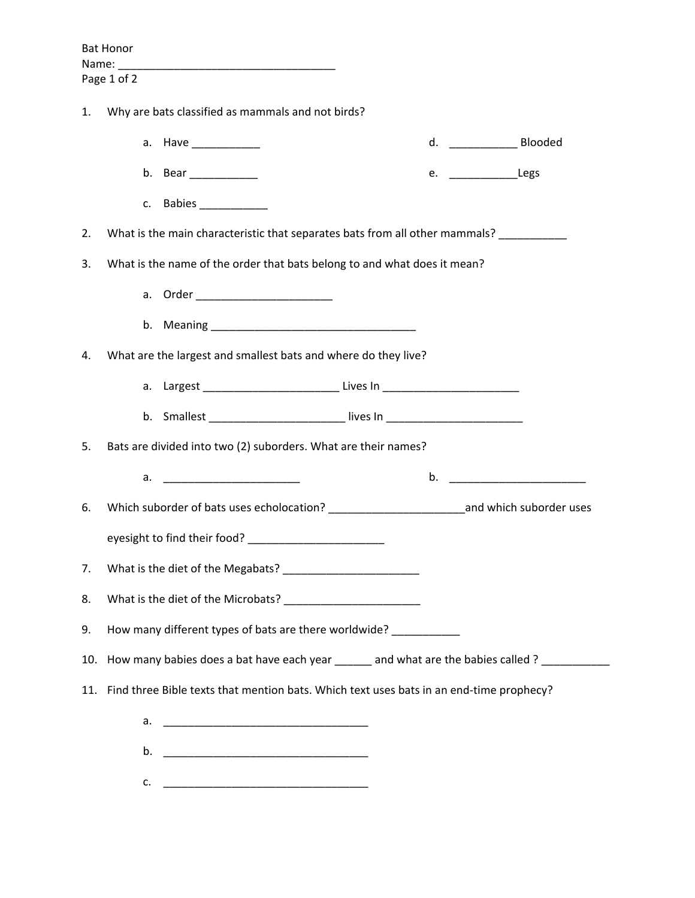|                                                                                                   |  |                                            |                                                                                                             | d. _________________ Blooded                                                                                                                                         |
|---------------------------------------------------------------------------------------------------|--|--------------------------------------------|-------------------------------------------------------------------------------------------------------------|----------------------------------------------------------------------------------------------------------------------------------------------------------------------|
|                                                                                                   |  |                                            |                                                                                                             | e. ___________________Legs                                                                                                                                           |
|                                                                                                   |  |                                            |                                                                                                             |                                                                                                                                                                      |
| What is the main characteristic that separates bats from all other mammals? ___________<br>2.     |  |                                            |                                                                                                             |                                                                                                                                                                      |
| What is the name of the order that bats belong to and what does it mean?<br>3.                    |  |                                            |                                                                                                             |                                                                                                                                                                      |
|                                                                                                   |  |                                            |                                                                                                             |                                                                                                                                                                      |
|                                                                                                   |  |                                            |                                                                                                             |                                                                                                                                                                      |
| What are the largest and smallest bats and where do they live?<br>4.                              |  |                                            |                                                                                                             |                                                                                                                                                                      |
|                                                                                                   |  |                                            |                                                                                                             |                                                                                                                                                                      |
|                                                                                                   |  |                                            |                                                                                                             |                                                                                                                                                                      |
| Bats are divided into two (2) suborders. What are their names?<br>5.                              |  |                                            |                                                                                                             |                                                                                                                                                                      |
|                                                                                                   |  |                                            |                                                                                                             | $\mathbf b$ .                                                                                                                                                        |
| Which suborder of bats uses echolocation? ______________________________and which suborder uses   |  |                                            |                                                                                                             |                                                                                                                                                                      |
|                                                                                                   |  |                                            |                                                                                                             |                                                                                                                                                                      |
| 7.                                                                                                |  |                                            |                                                                                                             |                                                                                                                                                                      |
| 8.                                                                                                |  |                                            |                                                                                                             |                                                                                                                                                                      |
| How many different types of bats are there worldwide?<br>9.                                       |  |                                            |                                                                                                             |                                                                                                                                                                      |
| 10. How many babies does a bat have each year ______ and what are the babies called ? ___________ |  |                                            |                                                                                                             |                                                                                                                                                                      |
| 11. Find three Bible texts that mention bats. Which text uses bats in an end-time prophecy?       |  |                                            |                                                                                                             |                                                                                                                                                                      |
|                                                                                                   |  |                                            |                                                                                                             |                                                                                                                                                                      |
|                                                                                                   |  |                                            |                                                                                                             |                                                                                                                                                                      |
|                                                                                                   |  | a. Have ___________<br>b. Bear ___________ | Why are bats classified as mammals and not birds?<br>eyesight to find their food? _________________________ | a. Largest _______________________________Lives In _____________________________<br>b. Smallest __________________________lives In _________________________________ |

c.  $\qquad$